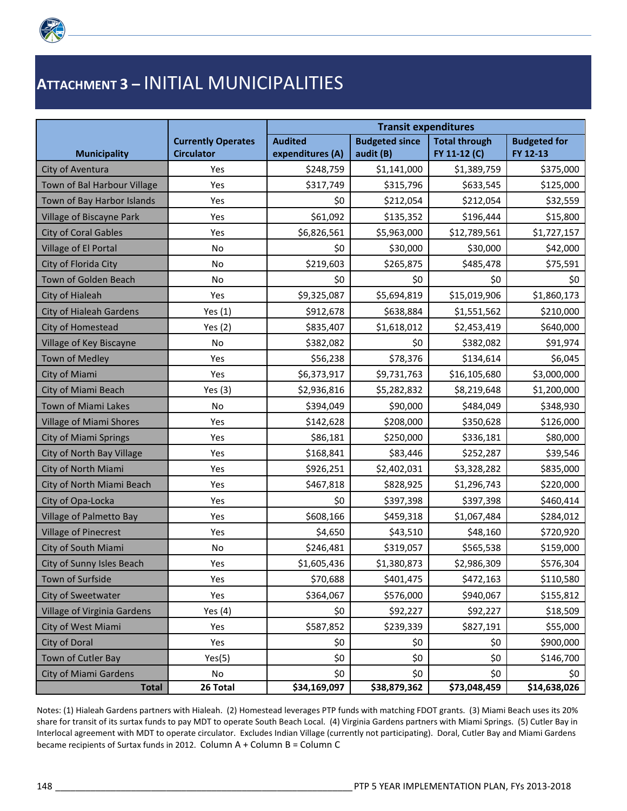

## **ATTACHMENT 3 –** INITIAL MUNICIPALITIES

|                                |                           | <b>Transit expenditures</b> |                       |                      |                     |  |
|--------------------------------|---------------------------|-----------------------------|-----------------------|----------------------|---------------------|--|
|                                | <b>Currently Operates</b> | <b>Audited</b>              | <b>Budgeted since</b> | <b>Total through</b> | <b>Budgeted for</b> |  |
| <b>Municipality</b>            | <b>Circulator</b>         | expenditures (A)            | audit (B)             | FY 11-12 (C)         | FY 12-13            |  |
| City of Aventura               | Yes                       | \$248,759                   | \$1,141,000           | \$1,389,759          | \$375,000           |  |
| Town of Bal Harbour Village    | Yes                       | \$317,749                   | \$315,796             | \$633,545            | \$125,000           |  |
| Town of Bay Harbor Islands     | Yes                       | \$0                         | \$212,054             | \$212,054            | \$32,559            |  |
| Village of Biscayne Park       | Yes                       | \$61,092                    | \$135,352             | \$196,444            | \$15,800            |  |
| <b>City of Coral Gables</b>    | Yes                       | \$6,826,561                 | \$5,963,000           | \$12,789,561         | \$1,727,157         |  |
| Village of El Portal           | No                        | \$0                         | \$30,000              | \$30,000             | \$42,000            |  |
| City of Florida City           | No                        | \$219,603                   | \$265,875             | \$485,478            | \$75,591            |  |
| Town of Golden Beach           | No                        | \$0                         | \$0                   | \$0                  | \$0                 |  |
| City of Hialeah                | Yes                       | \$9,325,087                 | \$5,694,819           | \$15,019,906         | \$1,860,173         |  |
| City of Hialeah Gardens        | Yes $(1)$                 | \$912,678                   | \$638,884             | \$1,551,562          | \$210,000           |  |
| City of Homestead              | Yes $(2)$                 | \$835,407                   | \$1,618,012           | \$2,453,419          | \$640,000           |  |
| Village of Key Biscayne        | No                        | \$382,082                   | \$0                   | \$382,082            | \$91,974            |  |
| <b>Town of Medley</b>          | Yes                       | \$56,238                    | \$78,376              | \$134,614            | \$6,045             |  |
| City of Miami                  | Yes                       | \$6,373,917                 | \$9,731,763           | \$16,105,680         | \$3,000,000         |  |
| City of Miami Beach            | Yes $(3)$                 | \$2,936,816                 | \$5,282,832           | \$8,219,648          | \$1,200,000         |  |
| Town of Miami Lakes            | No                        | \$394,049                   | \$90,000              | \$484,049            | \$348,930           |  |
| <b>Village of Miami Shores</b> | Yes                       | \$142,628                   | \$208,000             | \$350,628            | \$126,000           |  |
| <b>City of Miami Springs</b>   | Yes                       | \$86,181                    | \$250,000             | \$336,181            | \$80,000            |  |
| City of North Bay Village      | Yes                       | \$168,841                   | \$83,446              | \$252,287            | \$39,546            |  |
| City of North Miami            | Yes                       | \$926,251                   | \$2,402,031           | \$3,328,282          | \$835,000           |  |
| City of North Miami Beach      | Yes                       | \$467,818                   | \$828,925             | \$1,296,743          | \$220,000           |  |
| City of Opa-Locka              | Yes                       | \$0                         | \$397,398             | \$397,398            | \$460,414           |  |
| <b>Village of Palmetto Bay</b> | Yes                       | \$608,166                   | \$459,318             | \$1,067,484          | \$284,012           |  |
| <b>Village of Pinecrest</b>    | Yes                       | \$4,650                     | \$43,510              | \$48,160             | \$720,920           |  |
| City of South Miami            | No                        | \$246,481                   | \$319,057             | \$565,538            | \$159,000           |  |
| City of Sunny Isles Beach      | Yes                       | \$1,605,436                 | \$1,380,873           | \$2,986,309          | \$576,304           |  |
| Town of Surfside               | Yes                       | \$70,688                    | \$401,475             | \$472,163            | \$110,580           |  |
| City of Sweetwater             | Yes                       | \$364,067                   | \$576,000             | \$940,067            | \$155,812           |  |
| Village of Virginia Gardens    | Yes $(4)$                 | \$0                         | \$92,227              | \$92,227             | \$18,509            |  |
| City of West Miami             | Yes                       | \$587,852                   | \$239,339             | \$827,191            | \$55,000            |  |
| City of Doral                  | Yes                       | \$0                         | \$0                   | \$0                  | \$900,000           |  |
| Town of Cutler Bay             | Yes(5)                    | \$0                         | \$0                   | \$0                  | \$146,700           |  |
| <b>City of Miami Gardens</b>   | No                        | \$0                         | \$0                   | \$0                  | \$0                 |  |
| <b>Total</b>                   | 26 Total                  | \$34,169,097                | \$38,879,362          | \$73,048,459         | \$14,638,026        |  |

Notes: (1) Hialeah Gardens partners with Hialeah. (2) Homestead leverages PTP funds with matching FDOT grants. (3) Miami Beach uses its 20% share for transit of its surtax funds to pay MDT to operate South Beach Local. (4) Virginia Gardens partners with Miami Springs. (5) Cutler Bay in Interlocal agreement with MDT to operate circulator. Excludes Indian Village (currently not participating). Doral, Cutler Bay and Miami Gardens became recipients of Surtax funds in 2012. Column A + Column B = Column C